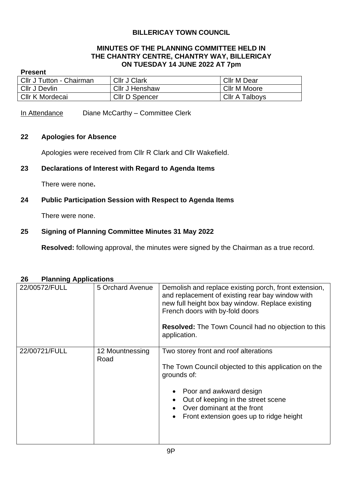# **BILLERICAY TOWN COUNCIL**

#### **MINUTES OF THE PLANNING COMMITTEE HELD IN THE CHANTRY CENTRE, CHANTRY WAY, BILLERICAY ON TUESDAY 14 JUNE 2022 AT 7pm**

#### **Present**

| Cllr J Tutton - Chairman | Cllr J Clark          | Cllr M Dear    |
|--------------------------|-----------------------|----------------|
| Cllr J Devlin            | <b>CIIr J Henshaw</b> | Cllr M Moore   |
| Cllr K Mordecai          | <b>Cllr D Spencer</b> | Cllr A Talboys |

In Attendance Diane McCarthy – Committee Clerk

#### **22 Apologies for Absence**

Apologies were received from Cllr R Clark and Cllr Wakefield.

# **23 Declarations of Interest with Regard to Agenda Items**

There were none**.**

## **24 Public Participation Session with Respect to Agenda Items**

There were none.

## **25 Signing of Planning Committee Minutes 31 May 2022**

**Resolved:** following approval, the minutes were signed by the Chairman as a true record.

# 22/00572/FULL 5 Orchard Avenue Demolish and replace existing porch, front extension, and replacement of existing rear bay window with new full height box bay window. Replace existing French doors with by-fold doors **Resolved:** The Town Council had no objection to this application. 22/00721/FULL 12 Mountnessing Road Two storey front and roof alterations The Town Council objected to this application on the grounds of: • Poor and awkward design • Out of keeping in the street scene • Over dominant at the front • Front extension goes up to ridge height

#### **26 Planning Applications**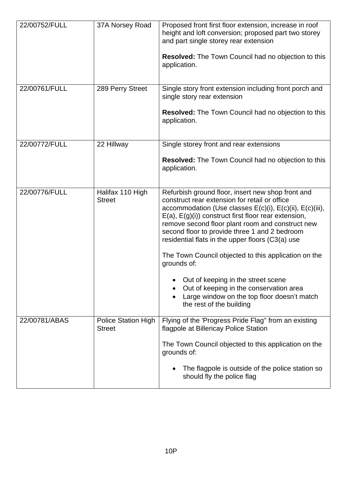| 22/00752/FULL | 37A Norsey Road                             | Proposed front first floor extension, increase in roof<br>height and loft conversion; proposed part two storey<br>and part single storey rear extension<br><b>Resolved:</b> The Town Council had no objection to this<br>application.                                                                                                                                                                                                                               |
|---------------|---------------------------------------------|---------------------------------------------------------------------------------------------------------------------------------------------------------------------------------------------------------------------------------------------------------------------------------------------------------------------------------------------------------------------------------------------------------------------------------------------------------------------|
| 22/00761/FULL | 289 Perry Street                            | Single story front extension including front porch and<br>single story rear extension<br><b>Resolved:</b> The Town Council had no objection to this                                                                                                                                                                                                                                                                                                                 |
|               |                                             | application.                                                                                                                                                                                                                                                                                                                                                                                                                                                        |
| 22/00772/FULL | 22 Hillway                                  | Single storey front and rear extensions                                                                                                                                                                                                                                                                                                                                                                                                                             |
|               |                                             | <b>Resolved:</b> The Town Council had no objection to this<br>application.                                                                                                                                                                                                                                                                                                                                                                                          |
| 22/00776/FULL | Halifax 110 High<br><b>Street</b>           | Refurbish ground floor, insert new shop front and<br>construct rear extension for retail or office<br>accommodation (Use classes $E(c)(i)$ , $E(c)(ii)$ , $E(c)(iii)$ ,<br>$E(a)$ , $E(g)(i)$ construct first floor rear extension,<br>remove second floor plant room and construct new<br>second floor to provide three 1 and 2 bedroom<br>residential flats in the upper floors (C3(a) use<br>The Town Council objected to this application on the<br>grounds of: |
|               |                                             | Out of keeping in the street scene<br>Out of keeping in the conservation area<br>Large window on the top floor doesn't match<br>the rest of the building                                                                                                                                                                                                                                                                                                            |
| 22/00781/ABAS | <b>Police Station High</b><br><b>Street</b> | Flying of the 'Progress Pride Flag" from an existing<br>flagpole at Billericay Police Station                                                                                                                                                                                                                                                                                                                                                                       |
|               |                                             | The Town Council objected to this application on the<br>grounds of:                                                                                                                                                                                                                                                                                                                                                                                                 |
|               |                                             | The flagpole is outside of the police station so<br>should fly the police flag                                                                                                                                                                                                                                                                                                                                                                                      |